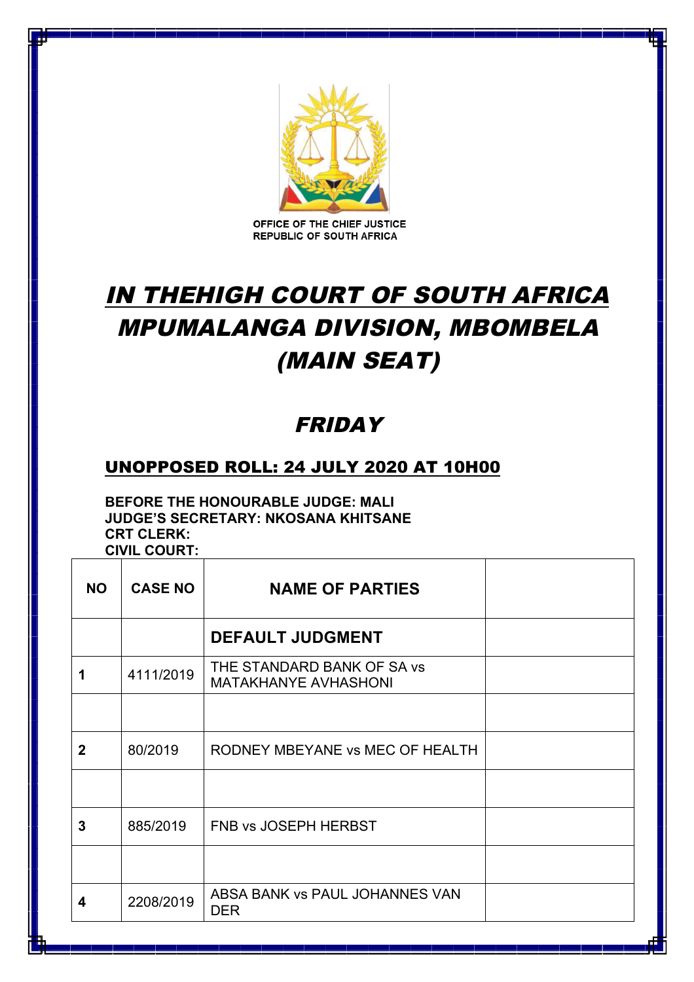

OFFICE OF THE CHIEF JUSTICE **REPUBLIC OF SOUTH AFRICA** 

## IN THEHIGH COURT OF SOUTH AFRICA MPUMALANGA DIVISION, MBOMBELA (MAIN SEAT)

## FRIDAY

## UNOPPOSED ROLL: 24 JULY 2020 AT 10H00

**BEFORE THE HONOURABLE JUDGE: MALI JUDGE'S SECRETARY: NKOSANA KHITSANE CRT CLERK: CIVIL COURT:** 

| <b>NO</b>    | <b>CASE NO</b> | <b>NAME OF PARTIES</b>                                    |  |
|--------------|----------------|-----------------------------------------------------------|--|
|              |                | <b>DEFAULT JUDGMENT</b>                                   |  |
|              | 4111/2019      | THE STANDARD BANK OF SA vs<br><b>MATAKHANYE AVHASHONI</b> |  |
|              |                |                                                           |  |
| $\mathbf{2}$ | 80/2019        | RODNEY MBEYANE vs MEC OF HEALTH                           |  |
|              |                |                                                           |  |
| 3            | 885/2019       | FNB vs JOSEPH HERBST                                      |  |
|              |                |                                                           |  |
| 4            | 2208/2019      | ABSA BANK vs PAUL JOHANNES VAN<br><b>DER</b>              |  |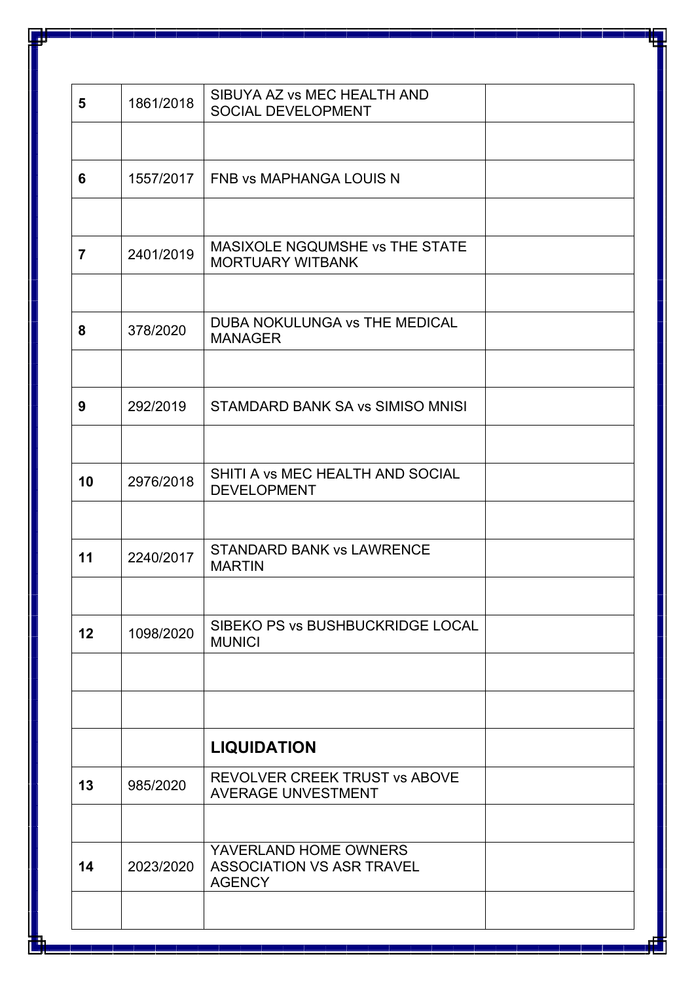| $5\phantom{1}$ | 1861/2018 | SIBUYA AZ vs MEC HEALTH AND<br>SOCIAL DEVELOPMENT                          |  |
|----------------|-----------|----------------------------------------------------------------------------|--|
|                |           |                                                                            |  |
| 6              | 1557/2017 | <b>FNB vs MAPHANGA LOUIS N</b>                                             |  |
|                |           |                                                                            |  |
| $\overline{7}$ | 2401/2019 | MASIXOLE NGQUMSHE vs THE STATE<br><b>MORTUARY WITBANK</b>                  |  |
| 8              | 378/2020  | <b>DUBA NOKULUNGA vs THE MEDICAL</b><br><b>MANAGER</b>                     |  |
| 9              | 292/2019  | STAMDARD BANK SA vs SIMISO MNISI                                           |  |
|                |           |                                                                            |  |
| 10             | 2976/2018 | SHITI A vs MEC HEALTH AND SOCIAL<br><b>DEVELOPMENT</b>                     |  |
|                |           |                                                                            |  |
| 11             | 2240/2017 | <b>STANDARD BANK vs LAWRENCE</b><br><b>MARTIN</b>                          |  |
| 12             | 1098/2020 | SIBEKO PS vs BUSHBUCKRIDGE LOCAL<br><b>MUNICI</b>                          |  |
|                |           |                                                                            |  |
|                |           | <b>LIQUIDATION</b>                                                         |  |
| 13             | 985/2020  | <b>REVOLVER CREEK TRUST vs ABOVE</b><br><b>AVERAGE UNVESTMENT</b>          |  |
| 14             | 2023/2020 | YAVERLAND HOME OWNERS<br><b>ASSOCIATION VS ASR TRAVEL</b><br><b>AGENCY</b> |  |
|                |           |                                                                            |  |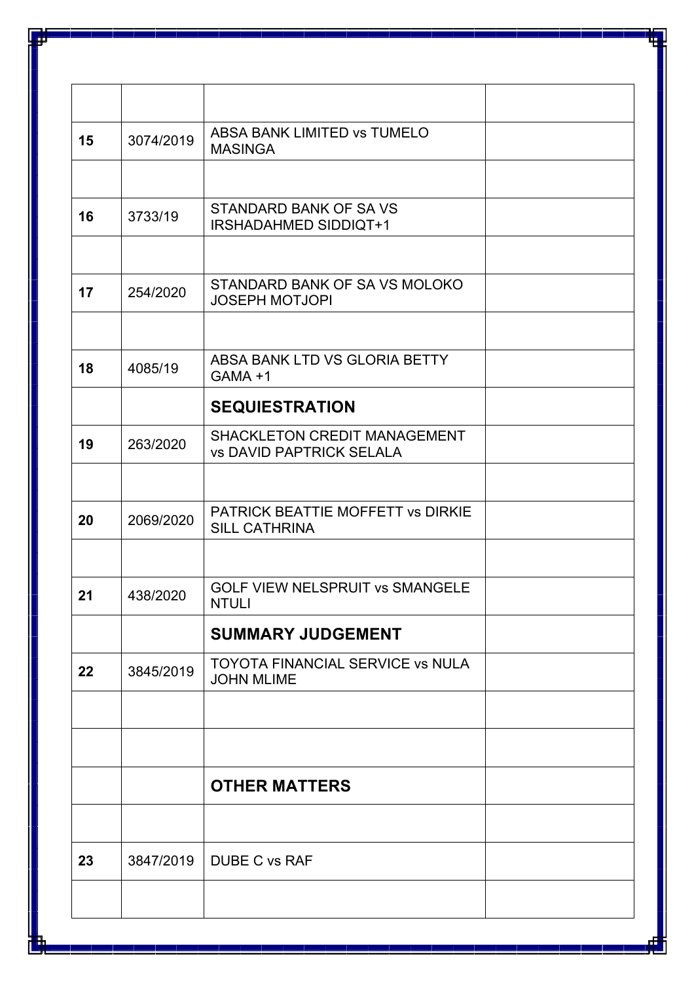| 3074/2019 | <b>ABSA BANK LIMITED VS TUMELO</b><br><b>MASINGA</b>            |  |
|-----------|-----------------------------------------------------------------|--|
|           |                                                                 |  |
| 3733/19   | STANDARD BANK OF SA VS<br>IRSHADAHMED SIDDIQT+1                 |  |
|           |                                                                 |  |
| 254/2020  | STANDARD BANK OF SA VS MOLOKO<br><b>JOSEPH MOTJOPI</b>          |  |
|           |                                                                 |  |
| 4085/19   | ABSA BANK LTD VS GLORIA BETTY<br>GAMA +1                        |  |
|           | <b>SEQUIESTRATION</b>                                           |  |
| 263/2020  | SHACKLETON CREDIT MANAGEMENT<br><b>vs DAVID PAPTRICK SELALA</b> |  |
|           |                                                                 |  |
| 2069/2020 | PATRICK BEATTIE MOFFETT vs DIRKIE<br><b>SILL CATHRINA</b>       |  |
|           |                                                                 |  |
| 438/2020  | <b>GOLF VIEW NELSPRUIT VS SMANGELE</b><br><b>NTULI</b>          |  |
|           | <b>SUMMARY JUDGEMENT</b>                                        |  |
| 3845/2019 | <b>TOYOTA FINANCIAL SERVICE vs NULA</b><br><b>JOHN MLIME</b>    |  |
|           |                                                                 |  |
|           |                                                                 |  |
|           | <b>OTHER MATTERS</b>                                            |  |
|           |                                                                 |  |
| 3847/2019 | <b>DUBE C vs RAF</b>                                            |  |
|           |                                                                 |  |
|           |                                                                 |  |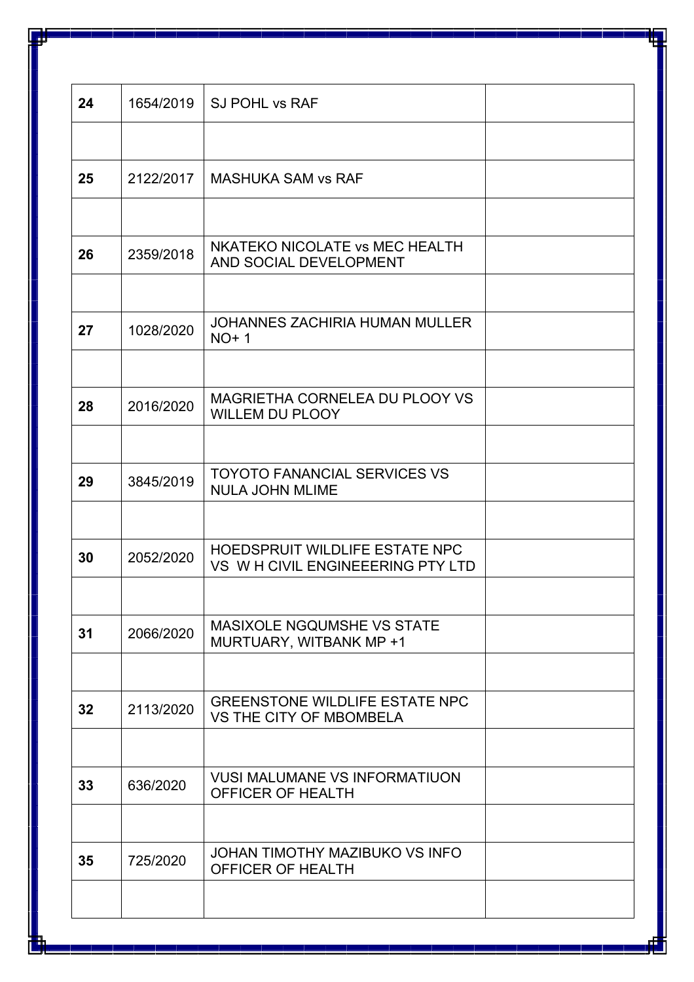| 24 | 1654/2019 | <b>SJ POHL vs RAF</b>                                              |  |
|----|-----------|--------------------------------------------------------------------|--|
|    |           |                                                                    |  |
| 25 | 2122/2017 | <b>MASHUKA SAM vs RAF</b>                                          |  |
|    |           |                                                                    |  |
| 26 | 2359/2018 | NKATEKO NICOLATE vs MEC HEALTH<br>AND SOCIAL DEVELOPMENT           |  |
|    |           |                                                                    |  |
| 27 | 1028/2020 | <b>JOHANNES ZACHIRIA HUMAN MULLER</b><br>$NO+1$                    |  |
|    |           |                                                                    |  |
| 28 | 2016/2020 | MAGRIETHA CORNELEA DU PLOOY VS<br><b>WILLEM DU PLOOY</b>           |  |
|    |           |                                                                    |  |
| 29 | 3845/2019 | <b>TOYOTO FANANCIAL SERVICES VS</b><br><b>NULA JOHN MLIME</b>      |  |
|    |           |                                                                    |  |
| 30 | 2052/2020 | HOEDSPRUIT WILDLIFE ESTATE NPC<br>VS WH CIVIL ENGINEEERING PTY LTD |  |
|    |           |                                                                    |  |
| 31 | 2066/2020 | <b>MASIXOLE NGQUMSHE VS STATE</b><br>MURTUARY, WITBANK MP +1       |  |
|    |           |                                                                    |  |
| 32 | 2113/2020 | <b>GREENSTONE WILDLIFE ESTATE NPC</b><br>VS THE CITY OF MBOMBELA   |  |
|    |           |                                                                    |  |
| 33 | 636/2020  | <b>VUSI MALUMANE VS INFORMATIUON</b><br>OFFICER OF HEALTH          |  |
|    |           |                                                                    |  |
| 35 | 725/2020  | JOHAN TIMOTHY MAZIBUKO VS INFO<br>OFFICER OF HEALTH                |  |
|    |           |                                                                    |  |
|    |           |                                                                    |  |